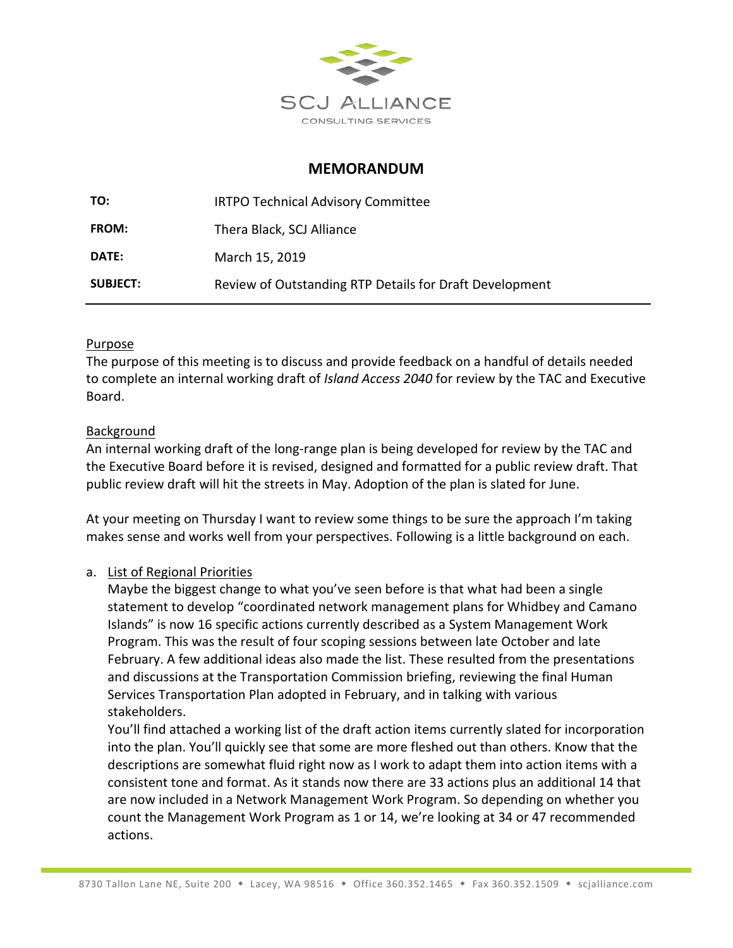

### **MEMORANDUM**

| TO:             | <b>IRTPO Technical Advisory Committee</b>               |
|-----------------|---------------------------------------------------------|
| <b>FROM:</b>    | Thera Black, SCJ Alliance                               |
| <b>DATE:</b>    | March 15, 2019                                          |
| <b>SUBJECT:</b> | Review of Outstanding RTP Details for Draft Development |

#### Purpose

The purpose of this meeting is to discuss and provide feedback on a handful of details needed to complete an internal working draft of *Island Access 2040* for review by the TAC and Executive Board.

#### Background

An internal working draft of the long-range plan is being developed for review by the TAC and the Executive Board before it is revised, designed and formatted for a public review draft. That public review draft will hit the streets in May. Adoption of the plan is slated for June.

At your meeting on Thursday I want to review some things to be sure the approach I'm taking makes sense and works well from your perspectives. Following is a little background on each.

#### a. List of Regional Priorities

Maybe the biggest change to what you've seen before is that what had been a single statement to develop "coordinated network management plans for Whidbey and Camano Islands" is now 16 specific actions currently described as a System Management Work Program. This was the result of four scoping sessions between late October and late February. A few additional ideas also made the list. These resulted from the presentations and discussions at the Transportation Commission briefing, reviewing the final Human Services Transportation Plan adopted in February, and in talking with various stakeholders.

You'll find attached a working list of the draft action items currently slated for incorporation into the plan. You'll quickly see that some are more fleshed out than others. Know that the descriptions are somewhat fluid right now as I work to adapt them into action items with a consistent tone and format. As it stands now there are 33 actions plus an additional 14 that are now included in a Network Management Work Program. So depending on whether you count the Management Work Program as 1 or 14, we're looking at 34 or 47 recommended actions.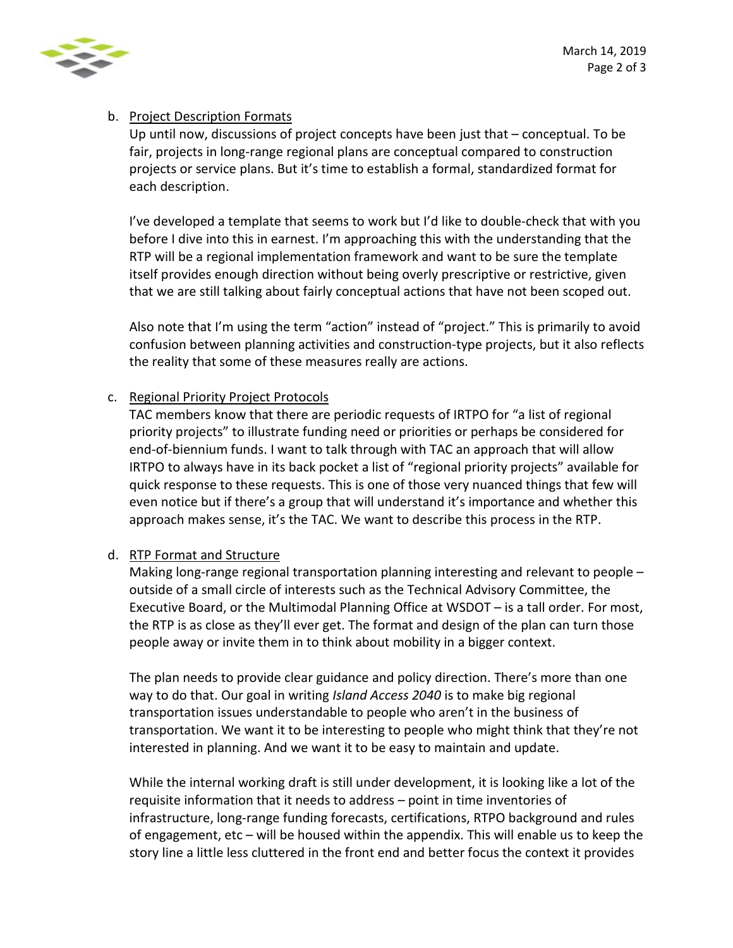

### b. Project Description Formats

Up until now, discussions of project concepts have been just that – conceptual. To be fair, projects in long-range regional plans are conceptual compared to construction projects or service plans. But it's time to establish a formal, standardized format for each description.

I've developed a template that seems to work but I'd like to double-check that with you before I dive into this in earnest. I'm approaching this with the understanding that the RTP will be a regional implementation framework and want to be sure the template itself provides enough direction without being overly prescriptive or restrictive, given that we are still talking about fairly conceptual actions that have not been scoped out.

Also note that I'm using the term "action" instead of "project." This is primarily to avoid confusion between planning activities and construction-type projects, but it also reflects the reality that some of these measures really are actions.

#### c. Regional Priority Project Protocols

TAC members know that there are periodic requests of IRTPO for "a list of regional priority projects" to illustrate funding need or priorities or perhaps be considered for end-of-biennium funds. I want to talk through with TAC an approach that will allow IRTPO to always have in its back pocket a list of "regional priority projects" available for quick response to these requests. This is one of those very nuanced things that few will even notice but if there's a group that will understand it's importance and whether this approach makes sense, it's the TAC. We want to describe this process in the RTP.

#### d. RTP Format and Structure

Making long-range regional transportation planning interesting and relevant to people – outside of a small circle of interests such as the Technical Advisory Committee, the Executive Board, or the Multimodal Planning Office at WSDOT – is a tall order. For most, the RTP is as close as they'll ever get. The format and design of the plan can turn those people away or invite them in to think about mobility in a bigger context.

The plan needs to provide clear guidance and policy direction. There's more than one way to do that. Our goal in writing *Island Access 2040* is to make big regional transportation issues understandable to people who aren't in the business of transportation. We want it to be interesting to people who might think that they're not interested in planning. And we want it to be easy to maintain and update.

While the internal working draft is still under development, it is looking like a lot of the requisite information that it needs to address – point in time inventories of infrastructure, long-range funding forecasts, certifications, RTPO background and rules of engagement, etc – will be housed within the appendix. This will enable us to keep the story line a little less cluttered in the front end and better focus the context it provides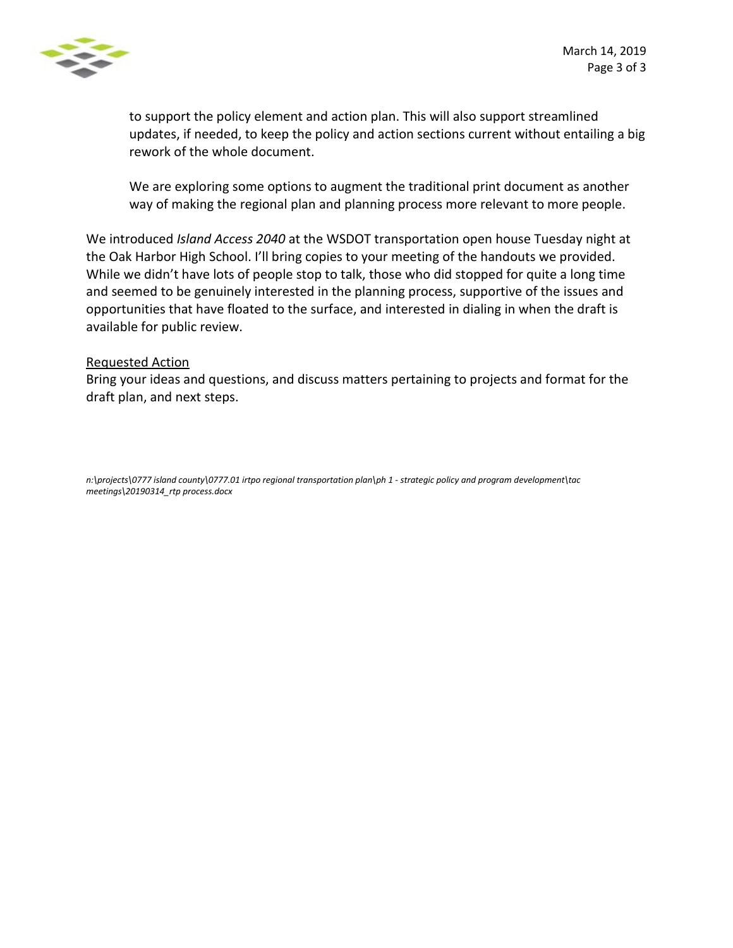

to support the policy element and action plan. This will also support streamlined updates, if needed, to keep the policy and action sections current without entailing a big rework of the whole document.

We are exploring some options to augment the traditional print document as another way of making the regional plan and planning process more relevant to more people.

We introduced *Island Access 2040* at the WSDOT transportation open house Tuesday night at the Oak Harbor High School. I'll bring copies to your meeting of the handouts we provided. While we didn't have lots of people stop to talk, those who did stopped for quite a long time and seemed to be genuinely interested in the planning process, supportive of the issues and opportunities that have floated to the surface, and interested in dialing in when the draft is available for public review.

#### Requested Action

Bring your ideas and questions, and discuss matters pertaining to projects and format for the draft plan, and next steps.

*n:\projects\0777 island county\0777.01 irtpo regional transportation plan\ph 1 - strategic policy and program development\tac meetings\20190314\_rtp process.docx*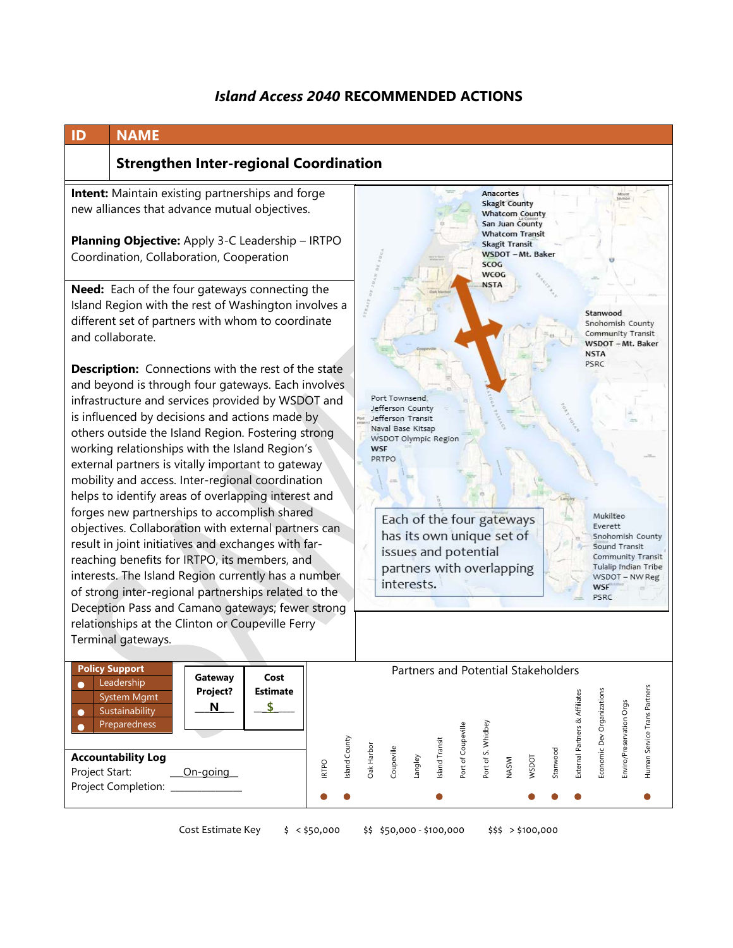# *Island Access 2040* **RECOMMENDED ACTIONS**

| <b>NAME</b><br>ID                                                                                                                                                                                                                                                                                                                                                                                                                                                                                                                                                                                       |                                                                                                                                                                                                                        |  |  |
|---------------------------------------------------------------------------------------------------------------------------------------------------------------------------------------------------------------------------------------------------------------------------------------------------------------------------------------------------------------------------------------------------------------------------------------------------------------------------------------------------------------------------------------------------------------------------------------------------------|------------------------------------------------------------------------------------------------------------------------------------------------------------------------------------------------------------------------|--|--|
| <b>Strengthen Inter-regional Coordination</b>                                                                                                                                                                                                                                                                                                                                                                                                                                                                                                                                                           |                                                                                                                                                                                                                        |  |  |
| Intent: Maintain existing partnerships and forge<br>new alliances that advance mutual objectives.<br>Planning Objective: Apply 3-C Leadership - IRTPO<br>Coordination, Collaboration, Cooperation                                                                                                                                                                                                                                                                                                                                                                                                       | Anacortes<br><b>Skagit County</b><br><b>Whatcom County</b><br>San Juan County<br><b>Whatcom Transit</b><br><b>Skagit Transit</b><br>WSDOT - Mt. Baker<br><b>SCOG</b><br><b>WCOG</b><br><b>NSTA</b>                     |  |  |
| Need: Each of the four gateways connecting the<br>Island Region with the rest of Washington involves a<br>different set of partners with whom to coordinate<br>and collaborate.                                                                                                                                                                                                                                                                                                                                                                                                                         | <b>TRAG</b><br>Stanwood<br>Snohomish County<br>Community Transit<br>WSDOT - Mt. Baker<br><b>NSTA</b>                                                                                                                   |  |  |
| <b>Description:</b> Connections with the rest of the state<br>and beyond is through four gateways. Each involves<br>infrastructure and services provided by WSDOT and<br>is influenced by decisions and actions made by<br>others outside the Island Region. Fostering strong<br>working relationships with the Island Region's<br>external partners is vitally important to gateway<br>mobility and access. Inter-regional coordination<br>helps to identify areas of overlapping interest and<br>forges new partnerships to accomplish shared<br>objectives. Collaboration with external partners can | PSRC<br>Port Townsend<br>Jefferson County<br>Jefferson Transit<br>Naval Base Kitsap<br>WSDOT Olympic Region<br><b>WSF</b><br>PRTPO<br>Mukilteo<br>Each of the four gateways<br>Everett                                 |  |  |
| result in joint initiatives and exchanges with far-<br>reaching benefits for IRTPO, its members, and<br>interests. The Island Region currently has a number<br>of strong inter-regional partnerships related to the<br>Deception Pass and Camano gateways; fewer strong<br>relationships at the Clinton or Coupeville Ferry<br>Terminal gateways.                                                                                                                                                                                                                                                       | has its own unique set of<br>Snohomish County<br>Sound Transit<br>issues and potential<br>Community Transit<br>partners with overlapping<br>Tulalip Indian Tribe<br>WSDOT - NW Reg<br>interests.<br><b>WSF</b><br>PSRC |  |  |
| <b>Policy Support</b><br>Gateway<br>Cost<br>Leadership<br>О<br>Project?<br><b>Estimate</b><br><b>System Mgmt</b><br>\$<br>N<br>Sustainability<br>О<br>Preparedness                                                                                                                                                                                                                                                                                                                                                                                                                                      | Partners and Potential Stakeholders<br>Human Service Trans Partners<br>Economic Dev Organizations<br>External Partners & Affiliates<br>Enviro/Preservation Orgs<br>Port of S. Whidbey<br>Port of Coupeville            |  |  |
| <b>Accountability Log</b><br><b>IRTPO</b><br>Project Start:<br>On-going<br>Project Completion:                                                                                                                                                                                                                                                                                                                                                                                                                                                                                                          | sland County<br>Island Transit<br>Oak Harbor<br>Coupeville<br>Stanwood<br>WSDOT<br>Langley<br><b>NASWI</b>                                                                                                             |  |  |

Cost Estimate Key \$ < \$50,000 \$\$ \$50,000 - \$100,000 \$\$\$ > \$100,000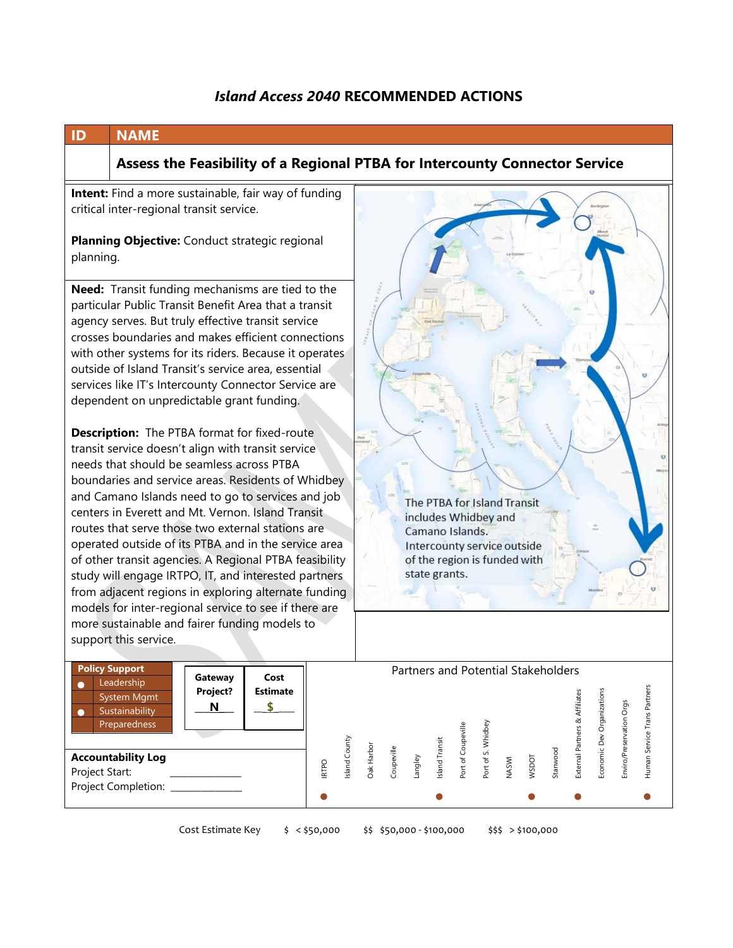## *Island Access 2040* **RECOMMENDED ACTIONS**



Cost Estimate Key \$ < \$50,000 \$\$ \$50,000 - \$100,000 \$\$\$ > \$100,000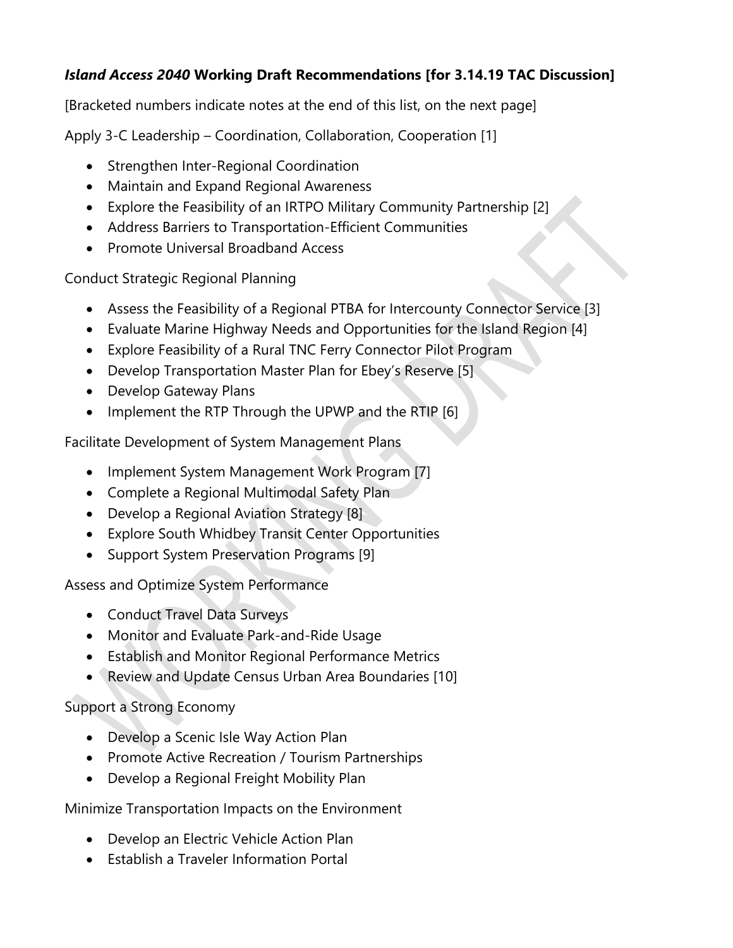# *Island Access 2040* **Working Draft Recommendations [for 3.14.19 TAC Discussion]**

[Bracketed numbers indicate notes at the end of this list, on the next page]

Apply 3-C Leadership – Coordination, Collaboration, Cooperation [1]

- Strengthen Inter-Regional Coordination
- Maintain and Expand Regional Awareness
- Explore the Feasibility of an IRTPO Military Community Partnership [2]
- Address Barriers to Transportation-Efficient Communities
- Promote Universal Broadband Access

Conduct Strategic Regional Planning

- Assess the Feasibility of a Regional PTBA for Intercounty Connector Service [3]
- Evaluate Marine Highway Needs and Opportunities for the Island Region [4]
- Explore Feasibility of a Rural TNC Ferry Connector Pilot Program
- Develop Transportation Master Plan for Ebey's Reserve [5]
- Develop Gateway Plans
- Implement the RTP Through the UPWP and the RTIP [6]

Facilitate Development of System Management Plans

- Implement System Management Work Program [7]
- Complete a Regional Multimodal Safety Plan
- Develop a Regional Aviation Strategy [8]
- Explore South Whidbey Transit Center Opportunities
- Support System Preservation Programs [9]

Assess and Optimize System Performance

- Conduct Travel Data Surveys
- Monitor and Evaluate Park-and-Ride Usage
- Establish and Monitor Regional Performance Metrics
- Review and Update Census Urban Area Boundaries [10]

# Support a Strong Economy

- Develop a Scenic Isle Way Action Plan
- Promote Active Recreation / Tourism Partnerships
- Develop a Regional Freight Mobility Plan

Minimize Transportation Impacts on the Environment

- Develop an Electric Vehicle Action Plan
- Establish a Traveler Information Portal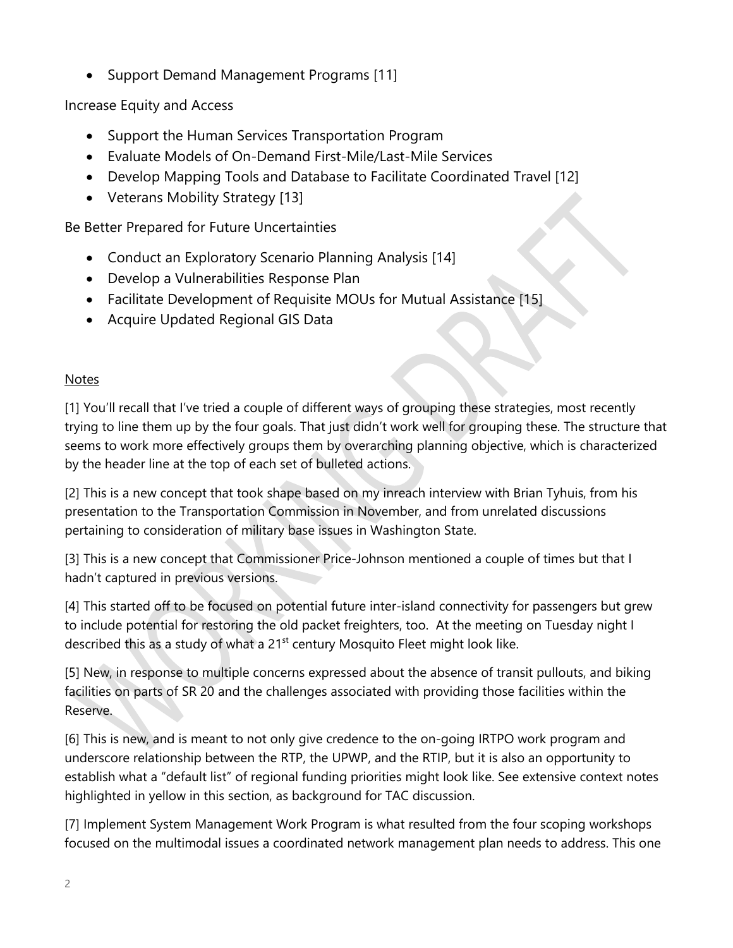• Support Demand Management Programs [11]

Increase Equity and Access

- Support the Human Services Transportation Program
- Evaluate Models of On-Demand First-Mile/Last-Mile Services
- Develop Mapping Tools and Database to Facilitate Coordinated Travel [12]
- Veterans Mobility Strategy [13]

Be Better Prepared for Future Uncertainties

- Conduct an Exploratory Scenario Planning Analysis [14]
- Develop a Vulnerabilities Response Plan
- Facilitate Development of Requisite MOUs for Mutual Assistance [15]
- Acquire Updated Regional GIS Data

## Notes

[1] You'll recall that I've tried a couple of different ways of grouping these strategies, most recently trying to line them up by the four goals. That just didn't work well for grouping these. The structure that seems to work more effectively groups them by overarching planning objective, which is characterized by the header line at the top of each set of bulleted actions.

[2] This is a new concept that took shape based on my inreach interview with Brian Tyhuis, from his presentation to the Transportation Commission in November, and from unrelated discussions pertaining to consideration of military base issues in Washington State.

[3] This is a new concept that Commissioner Price-Johnson mentioned a couple of times but that I hadn't captured in previous versions.

[4] This started off to be focused on potential future inter-island connectivity for passengers but grew to include potential for restoring the old packet freighters, too. At the meeting on Tuesday night I described this as a study of what a 21<sup>st</sup> century Mosquito Fleet might look like.

[5] New, in response to multiple concerns expressed about the absence of transit pullouts, and biking facilities on parts of SR 20 and the challenges associated with providing those facilities within the Reserve.

[6] This is new, and is meant to not only give credence to the on-going IRTPO work program and underscore relationship between the RTP, the UPWP, and the RTIP, but it is also an opportunity to establish what a "default list" of regional funding priorities might look like. See extensive context notes highlighted in yellow in this section, as background for TAC discussion.

[7] Implement System Management Work Program is what resulted from the four scoping workshops focused on the multimodal issues a coordinated network management plan needs to address. This one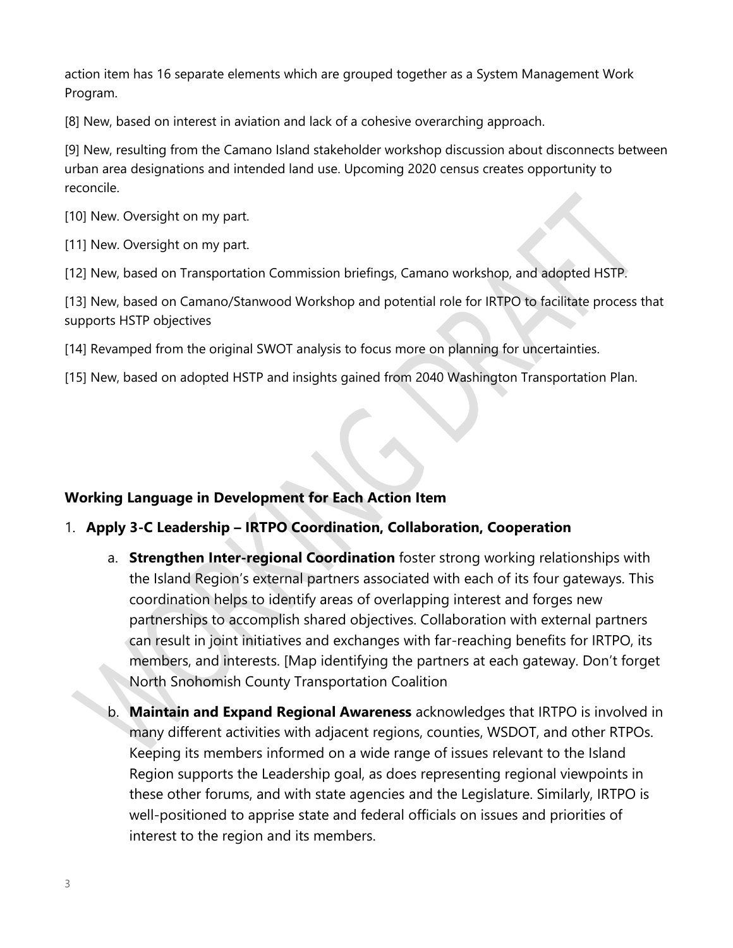action item has 16 separate elements which are grouped together as a System Management Work Program.

[8] New, based on interest in aviation and lack of a cohesive overarching approach.

[9] New, resulting from the Camano Island stakeholder workshop discussion about disconnects between urban area designations and intended land use. Upcoming 2020 census creates opportunity to reconcile.

[10] New. Oversight on my part.

[11] New. Oversight on my part.

[12] New, based on Transportation Commission briefings, Camano workshop, and adopted HSTP.

[13] New, based on Camano/Stanwood Workshop and potential role for IRTPO to facilitate process that supports HSTP objectives

- [14] Revamped from the original SWOT analysis to focus more on planning for uncertainties.
- [15] New, based on adopted HSTP and insights gained from 2040 Washington Transportation Plan.

# **Working Language in Development for Each Action Item**

# 1. **Apply 3-C Leadership – IRTPO Coordination, Collaboration, Cooperation**

- a. **Strengthen Inter-regional Coordination** foster strong working relationships with the Island Region's external partners associated with each of its four gateways. This coordination helps to identify areas of overlapping interest and forges new partnerships to accomplish shared objectives. Collaboration with external partners can result in joint initiatives and exchanges with far-reaching benefits for IRTPO, its members, and interests. [Map identifying the partners at each gateway. Don't forget North Snohomish County Transportation Coalition
- b. **Maintain and Expand Regional Awareness** acknowledges that IRTPO is involved in many different activities with adjacent regions, counties, WSDOT, and other RTPOs. Keeping its members informed on a wide range of issues relevant to the Island Region supports the Leadership goal, as does representing regional viewpoints in these other forums, and with state agencies and the Legislature. Similarly, IRTPO is well-positioned to apprise state and federal officials on issues and priorities of interest to the region and its members.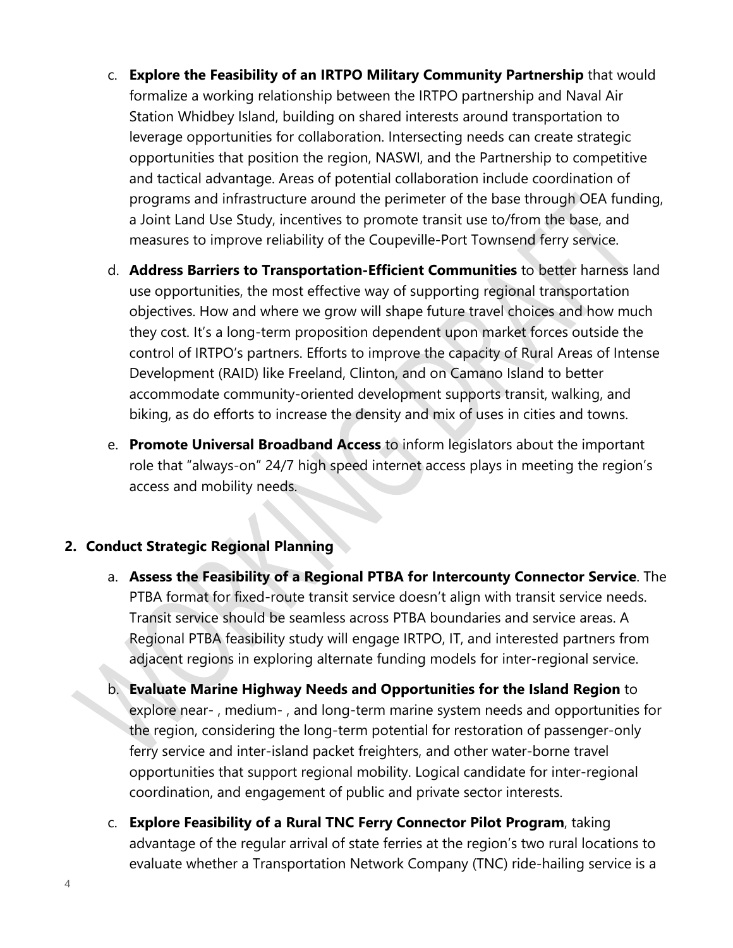- c. **Explore the Feasibility of an IRTPO Military Community Partnership** that would formalize a working relationship between the IRTPO partnership and Naval Air Station Whidbey Island, building on shared interests around transportation to leverage opportunities for collaboration. Intersecting needs can create strategic opportunities that position the region, NASWI, and the Partnership to competitive and tactical advantage. Areas of potential collaboration include coordination of programs and infrastructure around the perimeter of the base through OEA funding, a Joint Land Use Study, incentives to promote transit use to/from the base, and measures to improve reliability of the Coupeville-Port Townsend ferry service.
- d. **Address Barriers to Transportation-Efficient Communities** to better harness land use opportunities, the most effective way of supporting regional transportation objectives. How and where we grow will shape future travel choices and how much they cost. It's a long-term proposition dependent upon market forces outside the control of IRTPO's partners. Efforts to improve the capacity of Rural Areas of Intense Development (RAID) like Freeland, Clinton, and on Camano Island to better accommodate community-oriented development supports transit, walking, and biking, as do efforts to increase the density and mix of uses in cities and towns.
- e. **Promote Universal Broadband Access** to inform legislators about the important role that "always-on" 24/7 high speed internet access plays in meeting the region's access and mobility needs.

# **2. Conduct Strategic Regional Planning**

- a. **Assess the Feasibility of a Regional PTBA for Intercounty Connector Service**. The PTBA format for fixed-route transit service doesn't align with transit service needs. Transit service should be seamless across PTBA boundaries and service areas. A Regional PTBA feasibility study will engage IRTPO, IT, and interested partners from adjacent regions in exploring alternate funding models for inter-regional service.
- b. **Evaluate Marine Highway Needs and Opportunities for the Island Region** to explore near- , medium- , and long-term marine system needs and opportunities for the region, considering the long-term potential for restoration of passenger-only ferry service and inter-island packet freighters, and other water-borne travel opportunities that support regional mobility. Logical candidate for inter-regional coordination, and engagement of public and private sector interests.
- c. **Explore Feasibility of a Rural TNC Ferry Connector Pilot Program**, taking advantage of the regular arrival of state ferries at the region's two rural locations to evaluate whether a Transportation Network Company (TNC) ride-hailing service is a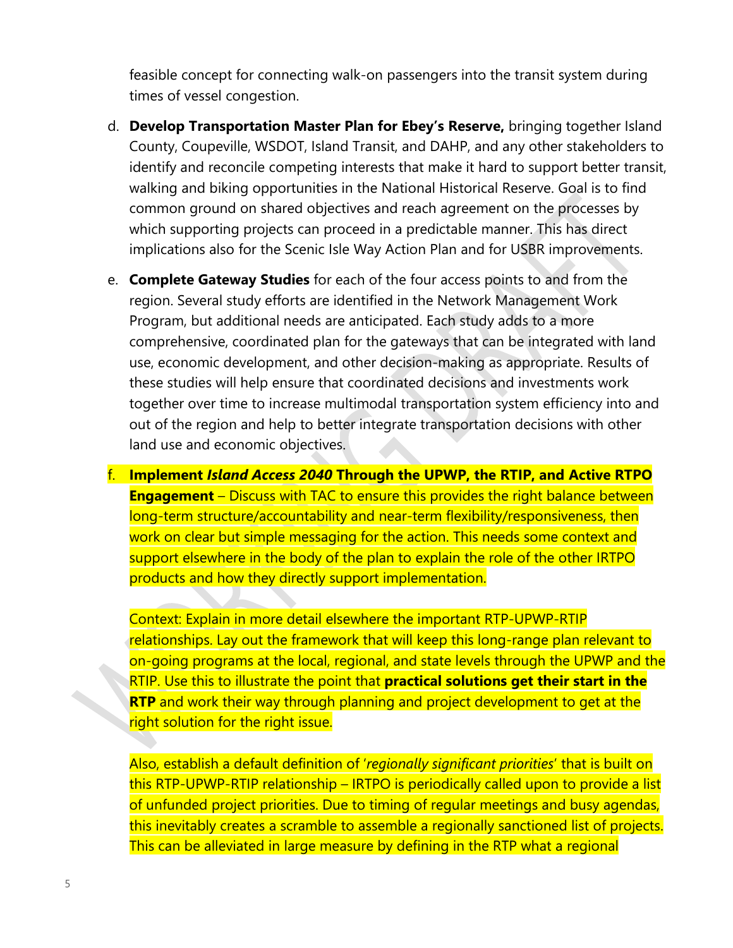feasible concept for connecting walk-on passengers into the transit system during times of vessel congestion.

- d. **Develop Transportation Master Plan for Ebey's Reserve,** bringing together Island County, Coupeville, WSDOT, Island Transit, and DAHP, and any other stakeholders to identify and reconcile competing interests that make it hard to support better transit, walking and biking opportunities in the National Historical Reserve. Goal is to find common ground on shared objectives and reach agreement on the processes by which supporting projects can proceed in a predictable manner. This has direct implications also for the Scenic Isle Way Action Plan and for USBR improvements.
- e. **Complete Gateway Studies** for each of the four access points to and from the region. Several study efforts are identified in the Network Management Work Program, but additional needs are anticipated. Each study adds to a more comprehensive, coordinated plan for the gateways that can be integrated with land use, economic development, and other decision-making as appropriate. Results of these studies will help ensure that coordinated decisions and investments work together over time to increase multimodal transportation system efficiency into and out of the region and help to better integrate transportation decisions with other land use and economic objectives.
- f. **Implement** *Island Access 2040* **Through the UPWP, the RTIP, and Active RTPO Engagement** – Discuss with TAC to ensure this provides the right balance between long-term structure/accountability and near-term flexibility/responsiveness, then work on clear but simple messaging for the action. This needs some context and support elsewhere in the body of the plan to explain the role of the other IRTPO products and how they directly support implementation.

Context: Explain in more detail elsewhere the important RTP-UPWP-RTIP relationships. Lay out the framework that will keep this long-range plan relevant to on-going programs at the local, regional, and state levels through the UPWP and the RTIP. Use this to illustrate the point that **practical solutions get their start in the RTP** and work their way through planning and project development to get at the right solution for the right issue.

Also, establish a default definition of '*regionally significant priorities*' that is built on this RTP-UPWP-RTIP relationship – IRTPO is periodically called upon to provide a list of unfunded project priorities. Due to timing of regular meetings and busy agendas, this inevitably creates a scramble to assemble a regionally sanctioned list of projects. This can be alleviated in large measure by defining in the RTP what a regional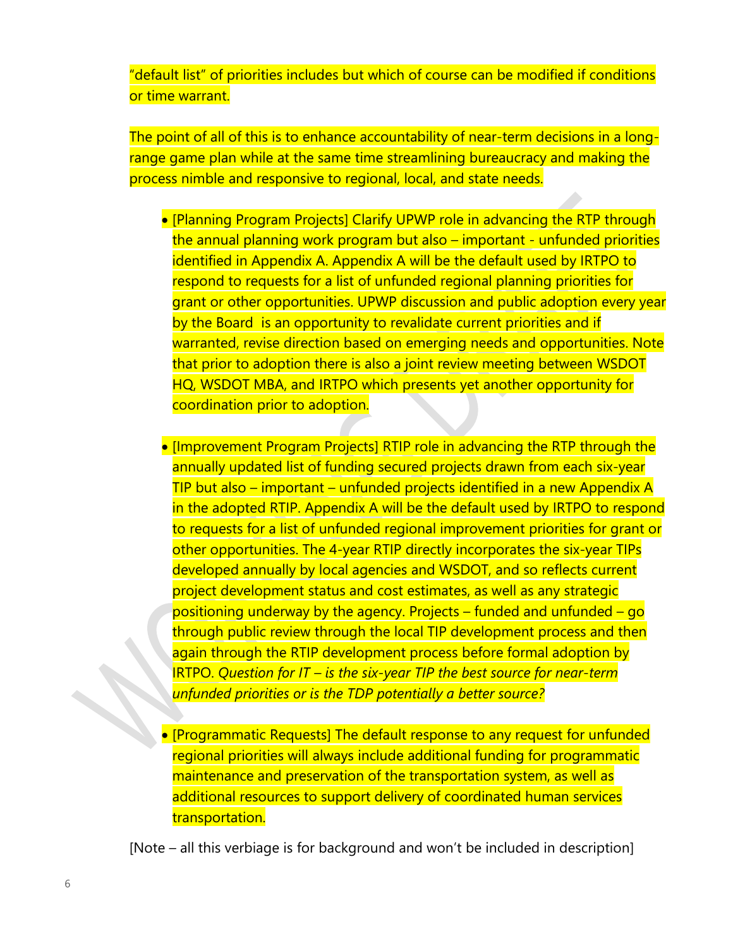"default list" of priorities includes but which of course can be modified if conditions or time warrant.

The point of all of this is to enhance accountability of near-term decisions in a longrange game plan while at the same time streamlining bureaucracy and making the process nimble and responsive to regional, local, and state needs.

- [Planning Program Projects] Clarify UPWP role in advancing the RTP through the annual planning work program but also – important - unfunded priorities identified in Appendix A. Appendix A will be the default used by IRTPO to respond to requests for a list of unfunded regional planning priorities for grant or other opportunities. UPWP discussion and public adoption every year by the Board is an opportunity to revalidate current priorities and if warranted, revise direction based on emerging needs and opportunities. Note that prior to adoption there is also a joint review meeting between WSDOT HQ, WSDOT MBA, and IRTPO which presents yet another opportunity for coordination prior to adoption.
- [Improvement Program Projects] RTIP role in advancing the RTP through the annually updated list of funding secured projects drawn from each six-year TIP but also – important – unfunded projects identified in a new Appendix A in the adopted RTIP. Appendix A will be the default used by IRTPO to respond to requests for a list of unfunded regional improvement priorities for grant or other opportunities. The 4-year RTIP directly incorporates the six-year TIPs developed annually by local agencies and WSDOT, and so reflects current project development status and cost estimates, as well as any strategic positioning underway by the agency. Projects – funded and unfunded – go through public review through the local TIP development process and then again through the RTIP development process before formal adoption by IRTPO. *Question for IT – is the six-year TIP the best source for near-term unfunded priorities or is the TDP potentially a better source?*
- [Programmatic Requests] The default response to any request for unfunded regional priorities will always include additional funding for programmatic maintenance and preservation of the transportation system, as well as additional resources to support delivery of coordinated human services transportation.

[Note – all this verbiage is for background and won't be included in description]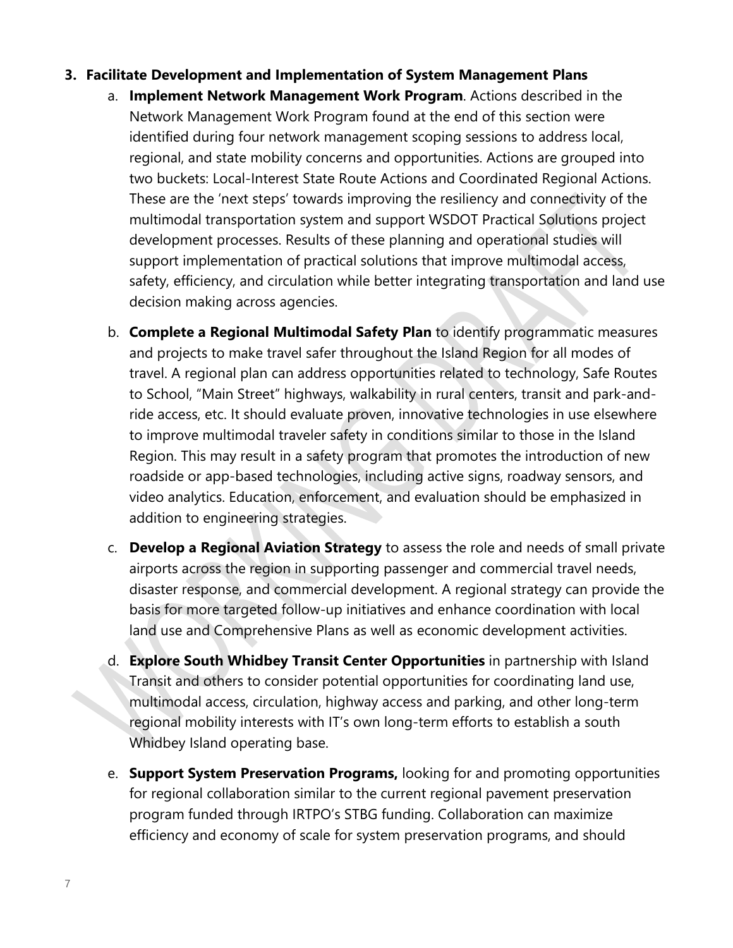### **3. Facilitate Development and Implementation of System Management Plans**

- a. **Implement Network Management Work Program**. Actions described in the Network Management Work Program found at the end of this section were identified during four network management scoping sessions to address local, regional, and state mobility concerns and opportunities. Actions are grouped into two buckets: Local-Interest State Route Actions and Coordinated Regional Actions. These are the 'next steps' towards improving the resiliency and connectivity of the multimodal transportation system and support WSDOT Practical Solutions project development processes. Results of these planning and operational studies will support implementation of practical solutions that improve multimodal access, safety, efficiency, and circulation while better integrating transportation and land use decision making across agencies.
- b. **Complete a Regional Multimodal Safety Plan** to identify programmatic measures and projects to make travel safer throughout the Island Region for all modes of travel. A regional plan can address opportunities related to technology, Safe Routes to School, "Main Street" highways, walkability in rural centers, transit and park-andride access, etc. It should evaluate proven, innovative technologies in use elsewhere to improve multimodal traveler safety in conditions similar to those in the Island Region. This may result in a safety program that promotes the introduction of new roadside or app-based technologies, including active signs, roadway sensors, and video analytics. Education, enforcement, and evaluation should be emphasized in addition to engineering strategies.
- c. **Develop a Regional Aviation Strategy** to assess the role and needs of small private airports across the region in supporting passenger and commercial travel needs, disaster response, and commercial development. A regional strategy can provide the basis for more targeted follow-up initiatives and enhance coordination with local land use and Comprehensive Plans as well as economic development activities.
- d. **Explore South Whidbey Transit Center Opportunities** in partnership with Island Transit and others to consider potential opportunities for coordinating land use, multimodal access, circulation, highway access and parking, and other long-term regional mobility interests with IT's own long-term efforts to establish a south Whidbey Island operating base.
- e. **Support System Preservation Programs,** looking for and promoting opportunities for regional collaboration similar to the current regional pavement preservation program funded through IRTPO's STBG funding. Collaboration can maximize efficiency and economy of scale for system preservation programs, and should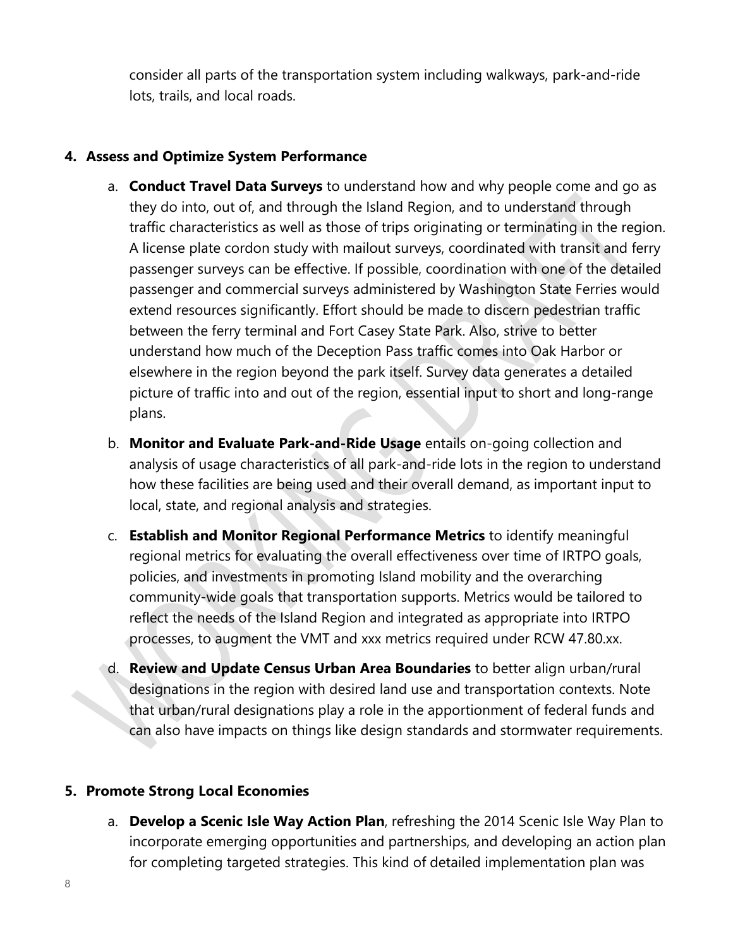consider all parts of the transportation system including walkways, park-and-ride lots, trails, and local roads.

### **4. Assess and Optimize System Performance**

- a. **Conduct Travel Data Surveys** to understand how and why people come and go as they do into, out of, and through the Island Region, and to understand through traffic characteristics as well as those of trips originating or terminating in the region. A license plate cordon study with mailout surveys, coordinated with transit and ferry passenger surveys can be effective. If possible, coordination with one of the detailed passenger and commercial surveys administered by Washington State Ferries would extend resources significantly. Effort should be made to discern pedestrian traffic between the ferry terminal and Fort Casey State Park. Also, strive to better understand how much of the Deception Pass traffic comes into Oak Harbor or elsewhere in the region beyond the park itself. Survey data generates a detailed picture of traffic into and out of the region, essential input to short and long-range plans.
- b. **Monitor and Evaluate Park-and-Ride Usage** entails on-going collection and analysis of usage characteristics of all park-and-ride lots in the region to understand how these facilities are being used and their overall demand, as important input to local, state, and regional analysis and strategies.
- c. **Establish and Monitor Regional Performance Metrics** to identify meaningful regional metrics for evaluating the overall effectiveness over time of IRTPO goals, policies, and investments in promoting Island mobility and the overarching community-wide goals that transportation supports. Metrics would be tailored to reflect the needs of the Island Region and integrated as appropriate into IRTPO processes, to augment the VMT and xxx metrics required under RCW 47.80.xx.
- d. **Review and Update Census Urban Area Boundaries** to better align urban/rural designations in the region with desired land use and transportation contexts. Note that urban/rural designations play a role in the apportionment of federal funds and can also have impacts on things like design standards and stormwater requirements.

### **5. Promote Strong Local Economies**

a. **Develop a Scenic Isle Way Action Plan**, refreshing the 2014 Scenic Isle Way Plan to incorporate emerging opportunities and partnerships, and developing an action plan for completing targeted strategies. This kind of detailed implementation plan was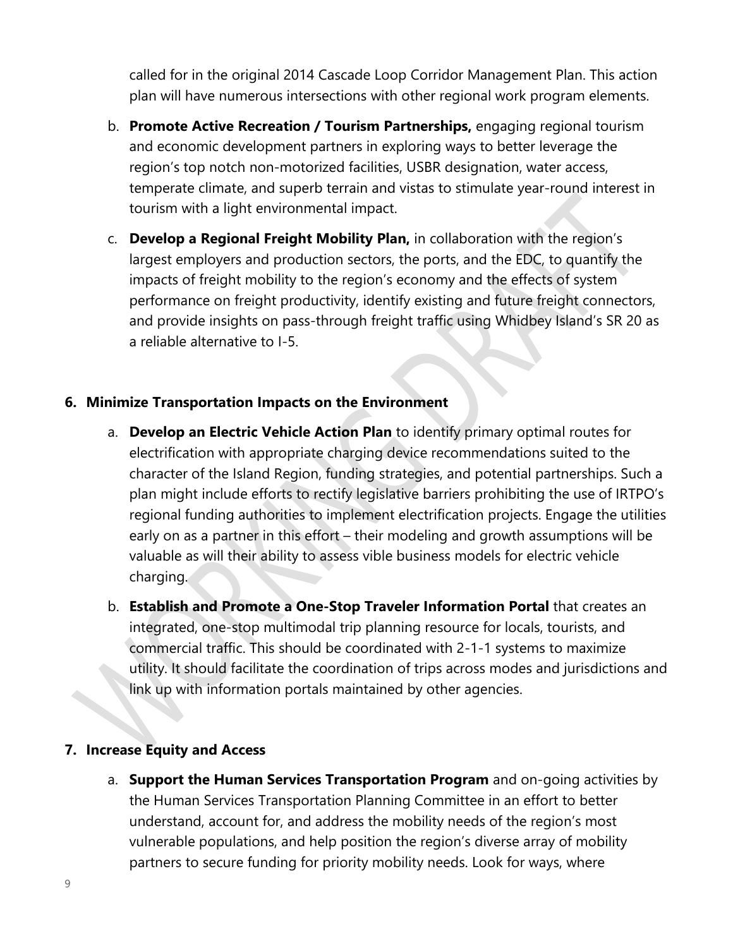called for in the original 2014 Cascade Loop Corridor Management Plan. This action plan will have numerous intersections with other regional work program elements.

- b. **Promote Active Recreation / Tourism Partnerships,** engaging regional tourism and economic development partners in exploring ways to better leverage the region's top notch non-motorized facilities, USBR designation, water access, temperate climate, and superb terrain and vistas to stimulate year-round interest in tourism with a light environmental impact.
- c. **Develop a Regional Freight Mobility Plan,** in collaboration with the region's largest employers and production sectors, the ports, and the EDC, to quantify the impacts of freight mobility to the region's economy and the effects of system performance on freight productivity, identify existing and future freight connectors, and provide insights on pass-through freight traffic using Whidbey Island's SR 20 as a reliable alternative to I-5.

### **6. Minimize Transportation Impacts on the Environment**

- a. **Develop an Electric Vehicle Action Plan** to identify primary optimal routes for electrification with appropriate charging device recommendations suited to the character of the Island Region, funding strategies, and potential partnerships. Such a plan might include efforts to rectify legislative barriers prohibiting the use of IRTPO's regional funding authorities to implement electrification projects. Engage the utilities early on as a partner in this effort – their modeling and growth assumptions will be valuable as will their ability to assess vible business models for electric vehicle charging.
- b. **Establish and Promote a One-Stop Traveler Information Portal** that creates an integrated, one-stop multimodal trip planning resource for locals, tourists, and commercial traffic. This should be coordinated with 2-1-1 systems to maximize utility. It should facilitate the coordination of trips across modes and jurisdictions and link up with information portals maintained by other agencies.

## **7. Increase Equity and Access**

a. **Support the Human Services Transportation Program** and on-going activities by the Human Services Transportation Planning Committee in an effort to better understand, account for, and address the mobility needs of the region's most vulnerable populations, and help position the region's diverse array of mobility partners to secure funding for priority mobility needs. Look for ways, where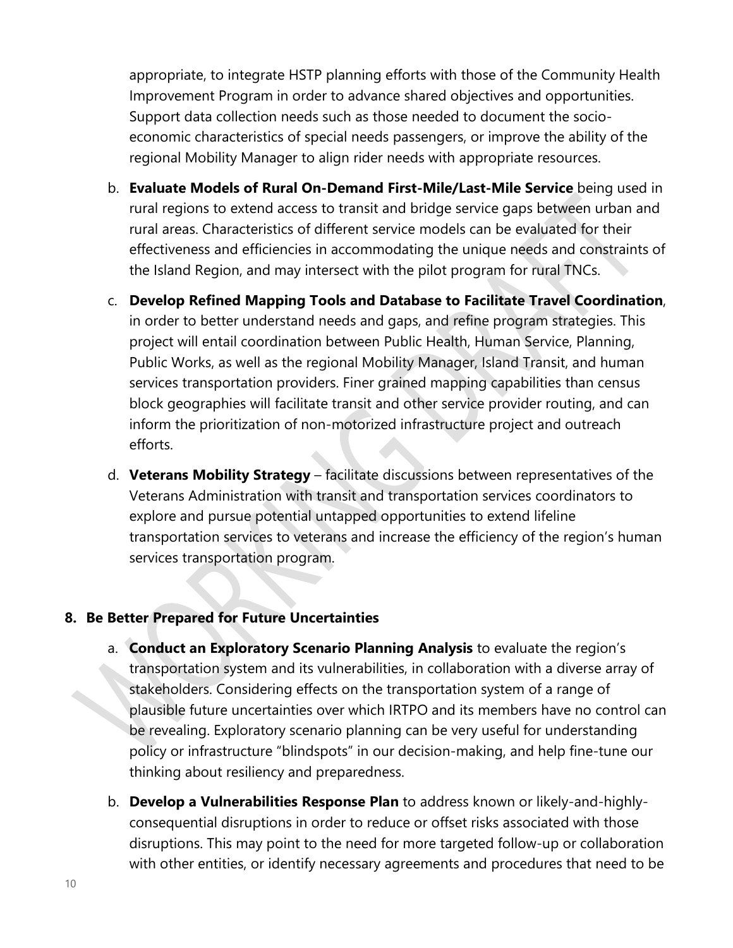appropriate, to integrate HSTP planning efforts with those of the Community Health Improvement Program in order to advance shared objectives and opportunities. Support data collection needs such as those needed to document the socioeconomic characteristics of special needs passengers, or improve the ability of the regional Mobility Manager to align rider needs with appropriate resources.

- b. **Evaluate Models of Rural On-Demand First-Mile/Last-Mile Service** being used in rural regions to extend access to transit and bridge service gaps between urban and rural areas. Characteristics of different service models can be evaluated for their effectiveness and efficiencies in accommodating the unique needs and constraints of the Island Region, and may intersect with the pilot program for rural TNCs.
- c. **Develop Refined Mapping Tools and Database to Facilitate Travel Coordination**, in order to better understand needs and gaps, and refine program strategies. This project will entail coordination between Public Health, Human Service, Planning, Public Works, as well as the regional Mobility Manager, Island Transit, and human services transportation providers. Finer grained mapping capabilities than census block geographies will facilitate transit and other service provider routing, and can inform the prioritization of non-motorized infrastructure project and outreach efforts.
- d. **Veterans Mobility Strategy** facilitate discussions between representatives of the Veterans Administration with transit and transportation services coordinators to explore and pursue potential untapped opportunities to extend lifeline transportation services to veterans and increase the efficiency of the region's human services transportation program.

#### **8. Be Better Prepared for Future Uncertainties**

- a. **Conduct an Exploratory Scenario Planning Analysis** to evaluate the region's transportation system and its vulnerabilities, in collaboration with a diverse array of stakeholders. Considering effects on the transportation system of a range of plausible future uncertainties over which IRTPO and its members have no control can be revealing. Exploratory scenario planning can be very useful for understanding policy or infrastructure "blindspots" in our decision-making, and help fine-tune our thinking about resiliency and preparedness.
- b. **Develop a Vulnerabilities Response Plan** to address known or likely-and-highlyconsequential disruptions in order to reduce or offset risks associated with those disruptions. This may point to the need for more targeted follow-up or collaboration with other entities, or identify necessary agreements and procedures that need to be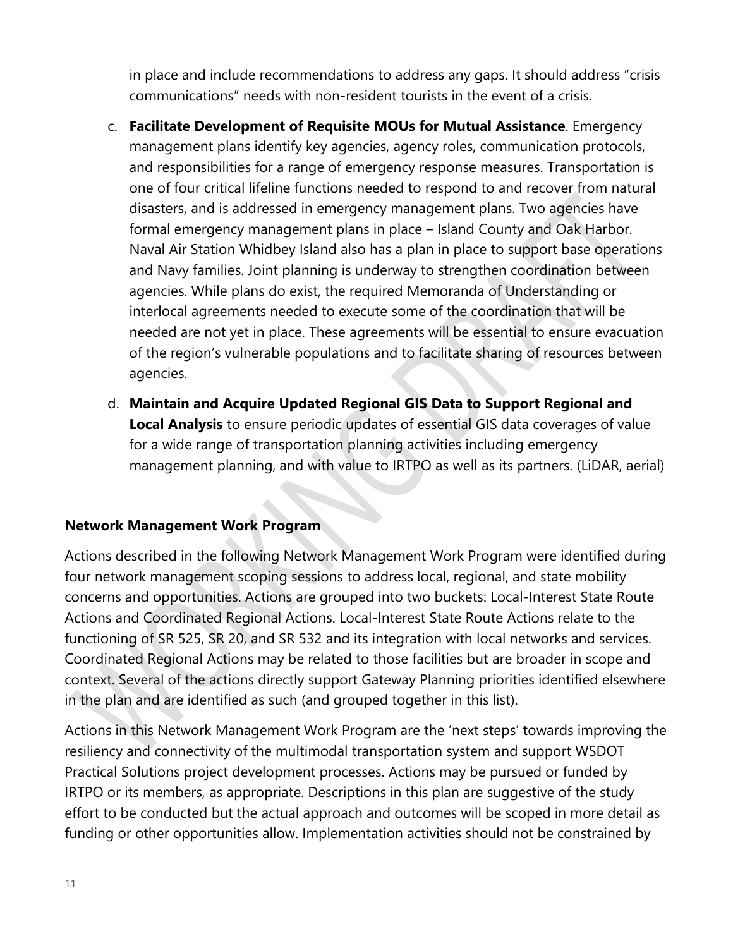in place and include recommendations to address any gaps. It should address "crisis communications" needs with non-resident tourists in the event of a crisis.

- c. **Facilitate Development of Requisite MOUs for Mutual Assistance**. Emergency management plans identify key agencies, agency roles, communication protocols, and responsibilities for a range of emergency response measures. Transportation is one of four critical lifeline functions needed to respond to and recover from natural disasters, and is addressed in emergency management plans. Two agencies have formal emergency management plans in place – Island County and Oak Harbor. Naval Air Station Whidbey Island also has a plan in place to support base operations and Navy families. Joint planning is underway to strengthen coordination between agencies. While plans do exist, the required Memoranda of Understanding or interlocal agreements needed to execute some of the coordination that will be needed are not yet in place. These agreements will be essential to ensure evacuation of the region's vulnerable populations and to facilitate sharing of resources between agencies.
- d. **Maintain and Acquire Updated Regional GIS Data to Support Regional and Local Analysis** to ensure periodic updates of essential GIS data coverages of value for a wide range of transportation planning activities including emergency management planning, and with value to IRTPO as well as its partners. (LiDAR, aerial)

## **Network Management Work Program**

Actions described in the following Network Management Work Program were identified during four network management scoping sessions to address local, regional, and state mobility concerns and opportunities. Actions are grouped into two buckets: Local-Interest State Route Actions and Coordinated Regional Actions. Local-Interest State Route Actions relate to the functioning of SR 525, SR 20, and SR 532 and its integration with local networks and services. Coordinated Regional Actions may be related to those facilities but are broader in scope and context. Several of the actions directly support Gateway Planning priorities identified elsewhere in the plan and are identified as such (and grouped together in this list).

Actions in this Network Management Work Program are the 'next steps' towards improving the resiliency and connectivity of the multimodal transportation system and support WSDOT Practical Solutions project development processes. Actions may be pursued or funded by IRTPO or its members, as appropriate. Descriptions in this plan are suggestive of the study effort to be conducted but the actual approach and outcomes will be scoped in more detail as funding or other opportunities allow. Implementation activities should not be constrained by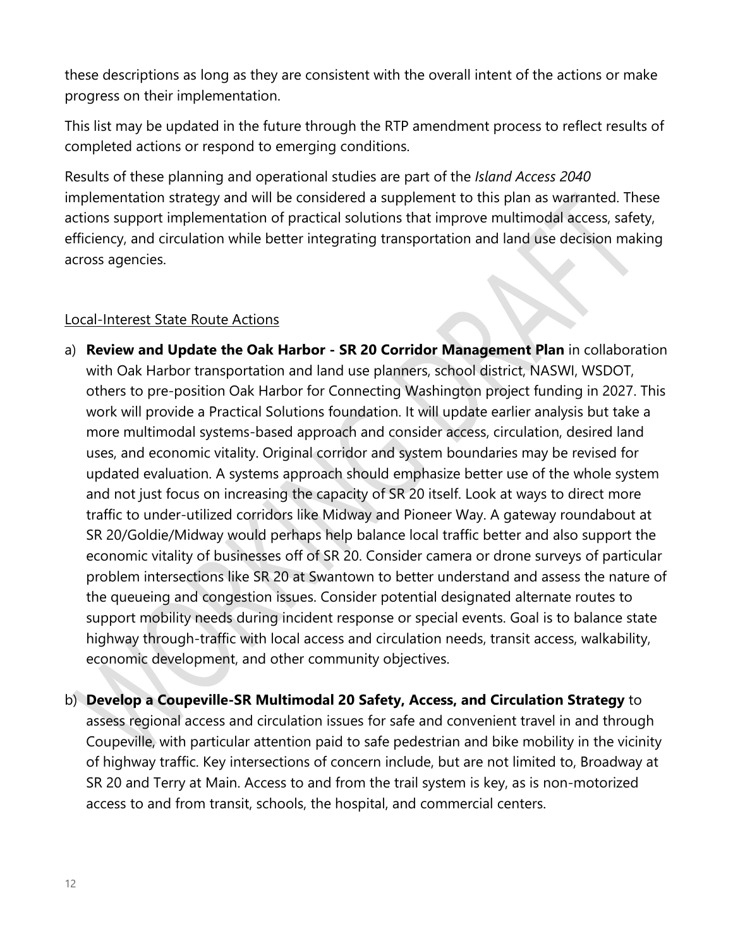these descriptions as long as they are consistent with the overall intent of the actions or make progress on their implementation.

This list may be updated in the future through the RTP amendment process to reflect results of completed actions or respond to emerging conditions.

Results of these planning and operational studies are part of the *Island Access 2040* implementation strategy and will be considered a supplement to this plan as warranted. These actions support implementation of practical solutions that improve multimodal access, safety, efficiency, and circulation while better integrating transportation and land use decision making across agencies.

# Local-Interest State Route Actions

- a) **Review and Update the Oak Harbor - SR 20 Corridor Management Plan** in collaboration with Oak Harbor transportation and land use planners, school district, NASWI, WSDOT, others to pre-position Oak Harbor for Connecting Washington project funding in 2027. This work will provide a Practical Solutions foundation. It will update earlier analysis but take a more multimodal systems-based approach and consider access, circulation, desired land uses, and economic vitality. Original corridor and system boundaries may be revised for updated evaluation. A systems approach should emphasize better use of the whole system and not just focus on increasing the capacity of SR 20 itself. Look at ways to direct more traffic to under-utilized corridors like Midway and Pioneer Way. A gateway roundabout at SR 20/Goldie/Midway would perhaps help balance local traffic better and also support the economic vitality of businesses off of SR 20. Consider camera or drone surveys of particular problem intersections like SR 20 at Swantown to better understand and assess the nature of the queueing and congestion issues. Consider potential designated alternate routes to support mobility needs during incident response or special events. Goal is to balance state highway through-traffic with local access and circulation needs, transit access, walkability, economic development, and other community objectives.
- b) **Develop a Coupeville-SR Multimodal 20 Safety, Access, and Circulation Strategy** to assess regional access and circulation issues for safe and convenient travel in and through Coupeville, with particular attention paid to safe pedestrian and bike mobility in the vicinity of highway traffic. Key intersections of concern include, but are not limited to, Broadway at SR 20 and Terry at Main. Access to and from the trail system is key, as is non-motorized access to and from transit, schools, the hospital, and commercial centers.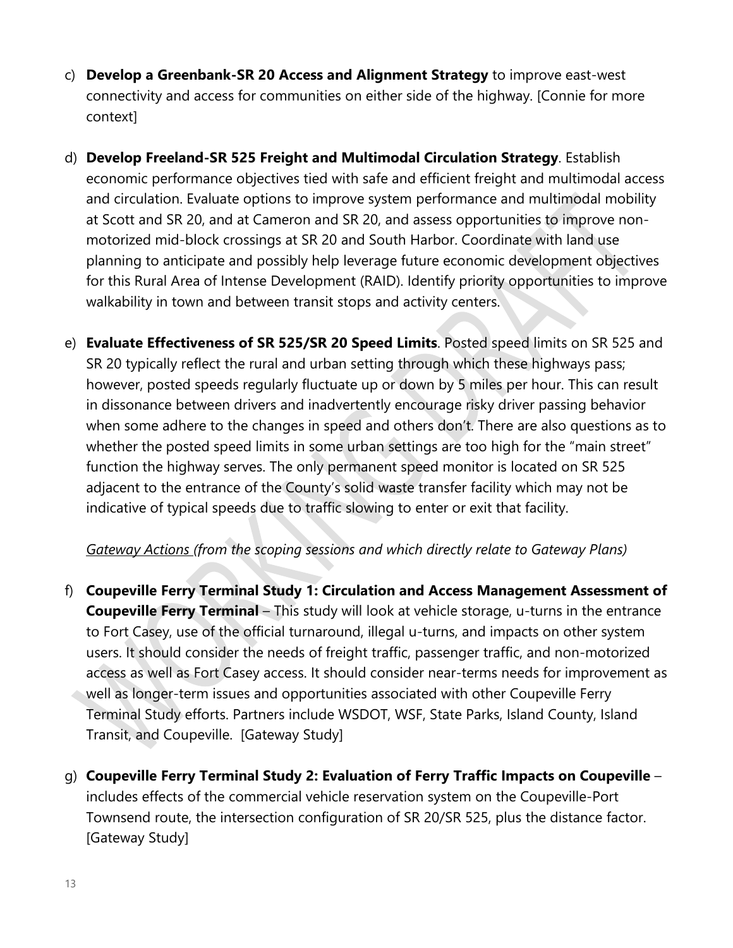- c) **Develop a Greenbank-SR 20 Access and Alignment Strategy** to improve east-west connectivity and access for communities on either side of the highway. [Connie for more context]
- d) **Develop Freeland-SR 525 Freight and Multimodal Circulation Strategy**. Establish economic performance objectives tied with safe and efficient freight and multimodal access and circulation. Evaluate options to improve system performance and multimodal mobility at Scott and SR 20, and at Cameron and SR 20, and assess opportunities to improve nonmotorized mid-block crossings at SR 20 and South Harbor. Coordinate with land use planning to anticipate and possibly help leverage future economic development objectives for this Rural Area of Intense Development (RAID). Identify priority opportunities to improve walkability in town and between transit stops and activity centers.
- e) **Evaluate Effectiveness of SR 525/SR 20 Speed Limits**. Posted speed limits on SR 525 and SR 20 typically reflect the rural and urban setting through which these highways pass; however, posted speeds regularly fluctuate up or down by 5 miles per hour. This can result in dissonance between drivers and inadvertently encourage risky driver passing behavior when some adhere to the changes in speed and others don't. There are also questions as to whether the posted speed limits in some urban settings are too high for the "main street" function the highway serves. The only permanent speed monitor is located on SR 525 adjacent to the entrance of the County's solid waste transfer facility which may not be indicative of typical speeds due to traffic slowing to enter or exit that facility.

## *Gateway Actions (from the scoping sessions and which directly relate to Gateway Plans)*

- f) **Coupeville Ferry Terminal Study 1: Circulation and Access Management Assessment of Coupeville Ferry Terminal** – This study will look at vehicle storage, u-turns in the entrance to Fort Casey, use of the official turnaround, illegal u-turns, and impacts on other system users. It should consider the needs of freight traffic, passenger traffic, and non-motorized access as well as Fort Casey access. It should consider near-terms needs for improvement as well as longer-term issues and opportunities associated with other Coupeville Ferry Terminal Study efforts. Partners include WSDOT, WSF, State Parks, Island County, Island Transit, and Coupeville. [Gateway Study]
- g) **Coupeville Ferry Terminal Study 2: Evaluation of Ferry Traffic Impacts on Coupeville** includes effects of the commercial vehicle reservation system on the Coupeville-Port Townsend route, the intersection configuration of SR 20/SR 525, plus the distance factor. [Gateway Study]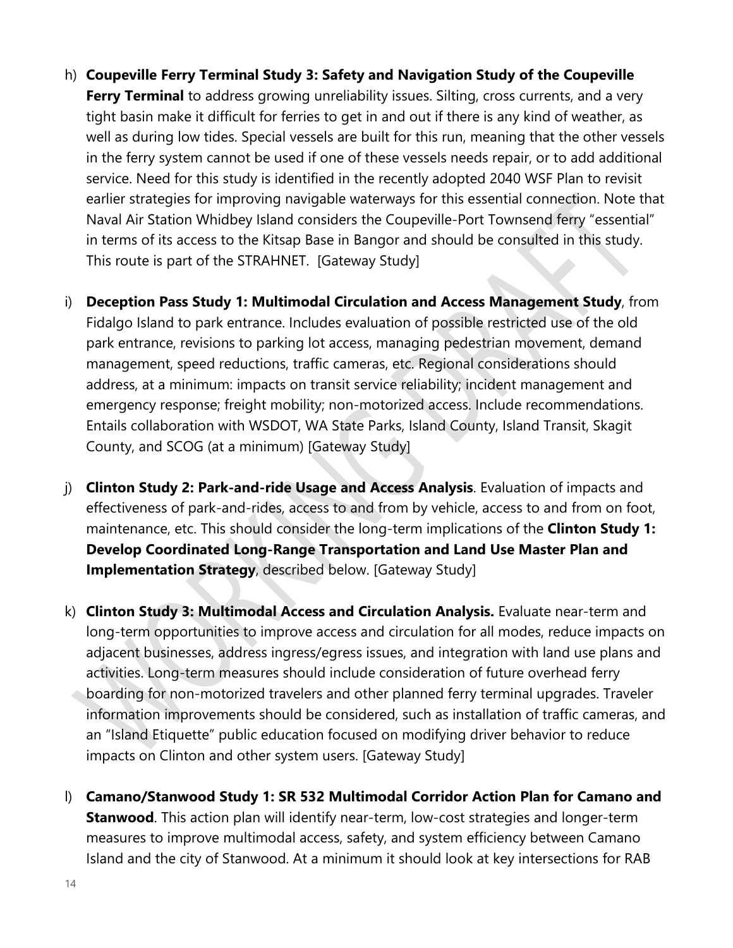- h) **Coupeville Ferry Terminal Study 3: Safety and Navigation Study of the Coupeville Ferry Terminal** to address growing unreliability issues. Silting, cross currents, and a very tight basin make it difficult for ferries to get in and out if there is any kind of weather, as well as during low tides. Special vessels are built for this run, meaning that the other vessels in the ferry system cannot be used if one of these vessels needs repair, or to add additional service. Need for this study is identified in the recently adopted 2040 WSF Plan to revisit earlier strategies for improving navigable waterways for this essential connection. Note that Naval Air Station Whidbey Island considers the Coupeville-Port Townsend ferry "essential" in terms of its access to the Kitsap Base in Bangor and should be consulted in this study. This route is part of the STRAHNET. [Gateway Study]
- i) **Deception Pass Study 1: Multimodal Circulation and Access Management Study**, from Fidalgo Island to park entrance. Includes evaluation of possible restricted use of the old park entrance, revisions to parking lot access, managing pedestrian movement, demand management, speed reductions, traffic cameras, etc. Regional considerations should address, at a minimum: impacts on transit service reliability; incident management and emergency response; freight mobility; non-motorized access. Include recommendations. Entails collaboration with WSDOT, WA State Parks, Island County, Island Transit, Skagit County, and SCOG (at a minimum) [Gateway Study]
- j) **Clinton Study 2: Park-and-ride Usage and Access Analysis**. Evaluation of impacts and effectiveness of park-and-rides, access to and from by vehicle, access to and from on foot, maintenance, etc. This should consider the long-term implications of the **Clinton Study 1: Develop Coordinated Long-Range Transportation and Land Use Master Plan and Implementation Strategy**, described below. [Gateway Study]
- k) **Clinton Study 3: Multimodal Access and Circulation Analysis.** Evaluate near-term and long-term opportunities to improve access and circulation for all modes, reduce impacts on adjacent businesses, address ingress/egress issues, and integration with land use plans and activities. Long-term measures should include consideration of future overhead ferry boarding for non-motorized travelers and other planned ferry terminal upgrades. Traveler information improvements should be considered, such as installation of traffic cameras, and an "Island Etiquette" public education focused on modifying driver behavior to reduce impacts on Clinton and other system users. [Gateway Study]
- l) **Camano/Stanwood Study 1: SR 532 Multimodal Corridor Action Plan for Camano and Stanwood**. This action plan will identify near-term, low-cost strategies and longer-term measures to improve multimodal access, safety, and system efficiency between Camano Island and the city of Stanwood. At a minimum it should look at key intersections for RAB